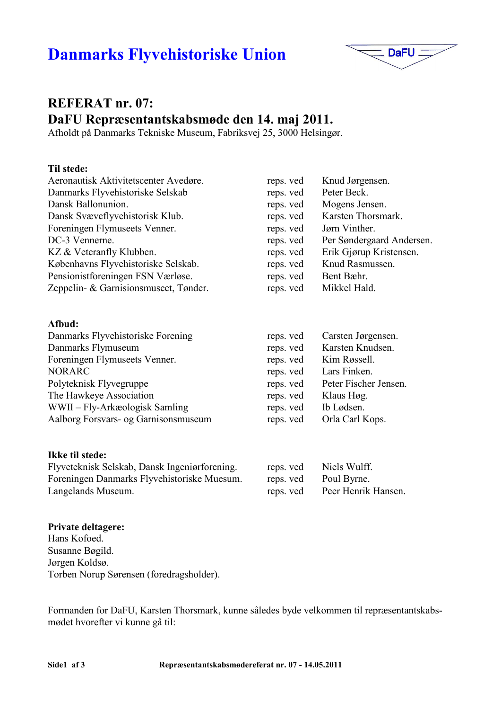# **Danmarks Flyvehistoriske Union**



# **REFERAT nr. 07:** DaFU Repræsentantskabsmøde den 14. maj 2011.

Afholdt på Danmarks Tekniske Museum, Fabriksvej 25, 3000 Helsingør.

#### Til stede:

| reps. ved | Knud Jørgensen.           |
|-----------|---------------------------|
| reps. ved | Peter Beck.               |
| reps. ved | Mogens Jensen.            |
| reps. ved | Karsten Thorsmark.        |
| reps. ved | Jørn Vinther.             |
| reps. ved | Per Søndergaard Andersen. |
| reps. ved | Erik Gjørup Kristensen.   |
| reps. ved | Knud Rasmussen.           |
| reps. ved | Bent Bæhr.                |
| reps. ved | Mikkel Hald.              |
|           |                           |

#### Afbud:

| Danmarks Flyvehistoriske Forening    | reps. ved | Carsten Jørgensen.    |
|--------------------------------------|-----------|-----------------------|
| Danmarks Flymuseum                   | reps. ved | Karsten Knudsen.      |
| Foreningen Flymuseets Venner.        | reps. ved | Kim Røssell.          |
| <b>NORARC</b>                        | reps. ved | Lars Finken.          |
| Polyteknisk Flyvegruppe              | reps. ved | Peter Fischer Jensen. |
| The Hawkeye Association              | reps. ved | Klaus Høg.            |
| WWII – Fly-Arkæologisk Samling       | reps. ved | Ib Lødsen.            |
| Aalborg Forsvars- og Garnisonsmuseum | reps. ved | Orla Carl Kops.       |

#### Ikke til stede:

Flyveteknisk Selskab, Dansk Ingeniørforening. reps. ved Foreningen Danmarks Flyvehistoriske Muesum. reps. ved Langelands Museum. reps. ved

#### **Private deltagere:**

Hans Kofoed. Susanne Bøgild. Jørgen Koldsø. Torben Norup Sørensen (foredragsholder).

Formanden for DaFU, Karsten Thorsmark, kunne således byde velkommen til repræsentantskabsmødet hvorefter vi kunne gå til:

Niels Wulff.

Poul Byrne.

Peer Henrik Hansen.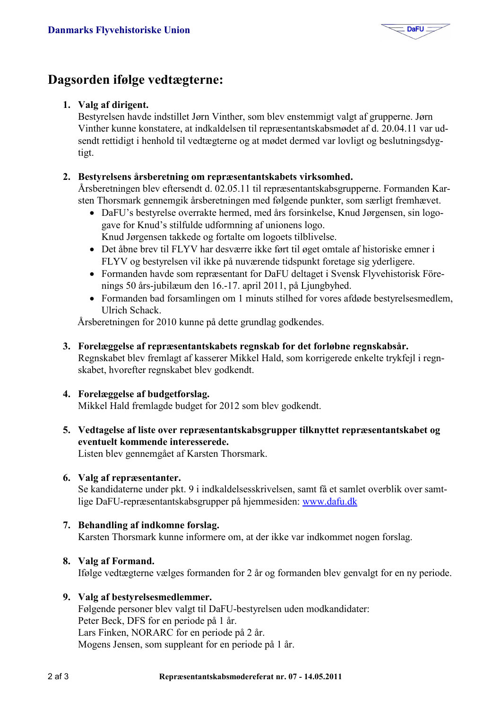

# Dagsorden ifølge vedtægterne:

#### 1. Valg af dirigent.

Bestyrelsen havde indstillet Jørn Vinther, som blev enstemmigt valgt af grupperne. Jørn Vinther kunne konstatere, at indkaldelsen til repræsentantskabsmødet af d. 20.04.11 var udsendt rettidigt i henhold til vedtægterne og at mødet dermed var lovligt og beslutningsdygtigt.

#### 2. Bestyrelsens årsberetning om repræsentantskabets virksomhed.

Årsberetningen blev eftersendt d. 02.05.11 til repræsentantskabsgrupperne. Formanden Karsten Thorsmark gennemgik årsberetningen med følgende punkter, som særligt fremhævet.

- DaFU's bestyrelse overrakte hermed, med års forsinkelse, Knud Jørgensen, sin logogave for Knud's stilfulde udformning af unionens logo. Knud Jørgensen takkede og fortalte om logoets tilblivelse.
- Det åbne brev til FLYV har desværre ikke ført til øget omtale af historiske emner i FLYV og bestyrelsen vil ikke på nuværende tidspunkt foretage sig yderligere.
- Formanden havde som repræsentant for DaFU deltaget i Svensk Flyvehistorisk Förenings 50 års-jubilæum den 16.-17. april 2011, på Ljungbyhed.
- Formanden bad forsamlingen om 1 minuts stilhed for vores afdøde bestyrelsesmedlem, **Ulrich Schack**

Årsberetningen for 2010 kunne på dette grundlag godkendes.

3. Forelæggelse af repræsentantskabets regnskab for det forløbne regnskabsår. Regnskabet blev fremlagt af kasserer Mikkel Hald, som korrigerede enkelte trykfejl i regnskabet, hvorefter regnskabet blev godkendt.

### 4. Forelæggelse af budgetforslag.

Mikkel Hald fremlagde budget for 2012 som blev godkendt.

5. Vedtagelse af liste over repræsentantskabsgrupper tilknyttet repræsentantskabet og eventuelt kommende interesserede.

Listen blev gennemgået af Karsten Thorsmark.

#### 6. Valg af repræsentanter.

Se kandidaterne under pkt. 9 i indkaldelsesskrivelsen, samt få et samlet overblik over samtlige DaFU-repræsentantskabsgrupper på hjemmesiden: www.dafu.dk

#### 7. Behandling af indkomne forslag. Karsten Thorsmark kunne informere om, at der ikke var indkommet nogen forslag.

8. Valg af Formand.

Ifølge vedtægterne vælges formanden for 2 år og formanden blev genvalgt for en ny periode.

#### 9. Valg af bestyrelsesmedlemmer.

Følgende personer blev valgt til DaFU-bestyrelsen uden modkandidater: Peter Beck, DFS for en periode på 1 år. Lars Finken, NORARC for en periode på 2 år. Mogens Jensen, som suppleant for en periode på 1 år.